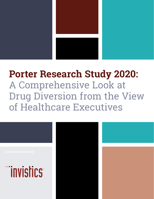

# **Porter Research Study 2020:**  A Comprehensive Look at Drug Diversion from the View of Healthcare Executives



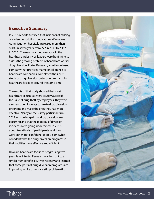#### **Executive Summary**

In 2017, reports surfaced that incidents of missing or stolen prescription medications at Veterans Administration hospitals increased more than 800% in seven years, from 272 in 2009 to 2,457 in 2016.<sup>1</sup> The news alarmed everyone in the healthcare industry, as leaders were beginning to assess the growing problem of healthcare worker drug diversion. Porter Research, an Atlanta-based company that provides market intelligence to healthcare companies, completed their first study of drug diversion detection programs in healthcare facilities around the same time.

The results of that study showed that most healthcare executives were acutely aware of the issue of drug theft by employees. They were also searching for ways to create drug diversion programs and make the ones they had more effective. Nearly all the survey participants in 2017 acknowledged that drug diversion was occurring and that the majority of diversion incidents were going undetected. In 2017, about two-thirds of participants said they were either "not confident" or only "somewhat confident" that the drug-diversion programs in their facilities were effective and efficient.

How are healthcare facilities progressing two years later? Porter Research reached out to a similar number of executives recently and learned that some parts of drug diversion programs are improving, while others are still problematic.



# <u>minvistics</u>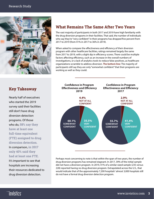

## **What Remains The Same After Two Years**

The vast majority of participants in both 2017 and 2019 have high familiarity with the drug diversion programs in their facilities. That said, the number of individuals who say they're "very confident" in their programs has dropped five percent from 2017 to 2019 (from 41% in 2017 to 36% in 2019).

When asked to compare the effectiveness and efficiency of their diversion program with other healthcare facilities, ratings remained largely the same from 2017 to 2019, with a slight dip in efficiency scores. There could be multiple factors affecting efficiency, such as an increase in the overall numbers of investigations, or a lack of analytics tools to reduce false positives, as healthcare organizations scramble to address diversion. **The bottom line:** The majority of participants still say they are only "somewhat confident" that their programs are working as well as they could.

#### **Key Takeaway**

Nearly half of executives who started the 2019 survey said their facilities still don't have drug diversion detection programs. Of those who do, **58% say they have at least one full-time equivalent (FTE) assigned to drug diversion detection.** In comparison, **in 2017 only 40% said they had at least one FTE.**  It's important to see that hospitals are increasing their resources dedicated to drug diversion detection.



Perhaps most concerning to note is that within the span of two years, the number of drug diversion programs has remained stagnant. In 2017, 39% of the initial sample did not have a diversion program. In 2019, 41% of a similar-sized sample (235 versus 228) reported having no drug diversion program. Extrapolated across the U.S., that would indicate that of the approximately 7,200 hospitals<sup>2</sup> almost 3,000 hospitals still do not have a formal drug diversion detection program.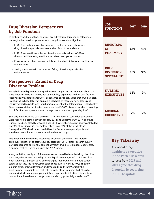## **Drug Diversion Perspectives by Job Function**

In both surveys, the goal was to attract executives from three major categories: nursing/patient services, pharmacy and drug diversion/investigation.

- In 2017, departments of pharmacy were well-represented; however, drug diversion specialists only comprised 16% of the audience.
- In 2019, we saw the number of diversion specialists climb to 36% of the total, while nursing/medical executives participation shrunk.
- Pharmacy executives made up a little less than half of the total contributors to the survey.
- Seeing the increase in the number of drug diversion specialists is a welcome sign.

# **Perspectives: Extent of Drug Diversion Problem**

We asked several questions designed to ascertain participants' opinions about the drug diversion issue as a whole, versus what they experience in their own facilities. Nearly all survey participants (98%) either agree or strongly agree that drug diversion is occurring in hospitals. That opinion is validated by research, news stories and industry experts alike. In fact, John Burke, president of the International Health Facility Diversion Association, estimates there are at least 37,000 diversion incidents occurring in U.S. facilities each year and even he says that his number is probably low.<sup>3</sup>

Similarly, Health Canada data show that 9 million doses of controlled substances were reported missing between January 2012 and September 30, 2017, and that number has been steadily growing since 2013. While the Canadian study contributed only 6% of missing drugs to employee theft, over 80% of the incidents are "unexplained."4 Indeed, more than 86% of the Porter survey participants said they have met or know someone who has diverted drugs.

The elephant in the room is recognized by almost everyone: Drug theft by employees is difficult to catch. Seventy percent of 2019 Porter Research survey participants agree or strongly agree that "most" drug diversion goes undetected, a number that has increased since the 2017 survey.

Along with that, nearly all of the executives surveyed believe that drug diversion has a negative impact on quality of care. Equal percentages of participants from both surveys (97 percent to 99 percent) agree that drug diversion puts patient safety at risk too. The Joint Commission concurs. In its April 2019 Quick Safety bulletin entitled "Drug Diversion and Impaired Healthcare Workers," the Joint Commission points out that risks for patients are multifaceted. "Risks to patients include inadequate pain relief and exposure to infectious disease from contaminated needles and drugs, compounded by potentially unsafe care."5

| <b>JOB</b><br><b>FUNCTIONS</b>                        | 2017 | 2019 |
|-------------------------------------------------------|------|------|
| <b>DIRECTORS</b><br><b>OF</b><br><b>PHARMACY</b>      | 64%  | 43%  |
| <b>DRUG</b><br><b>DIVERSION</b><br><b>SPECIALISTS</b> | 16%  | 36%  |
| <b>NURSING</b><br><b>EXECUTIVES</b>                   | 14%  | 9%   |
| <b>MEDICAL</b><br><b>EXECUTIVES</b>                   | 7%   | 7%   |

#### **Key Takeaway**

Just about every **healthcare executive in the Porter Research**  surveys from **2017 and 2019 agree that drug diversion is occurring in U.S. hospitals.** 

# <u>minvistics</u>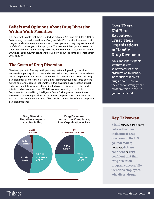#### **Beliefs and Opinions About Drug Diversion Within Work Facilities**

It's important to note that there is a decline between 2017 and 2019 (from 41% to 36%) among those who say they are "very confident" in the effectiveness of their program and an increase in the number of participants who say they are "not at all confident" in their organization's program. The least confident groups do remain under 5% of the totals. Percentage-wise, the "very confident" category lost about 6%, while the "somewhat confident" group grew about the same percentage from 2017 to 2019.

# **The Costs of Drug Diversion**

Ninety-six percent of survey participants say that employee drug diversion negatively impacts quality of care and 97% say that drug diversion has an adverse impact on patient safety. Hospital executives also believe the high costs of drug diversion impacts more than just the clinical departments. Eighty-three percent agreed or strongly agreed that employee drug diversion has a negative impact on finance and billing. Indeed, the estimated costs of diversion to public and private medical insurers is over \$72 billion a year according to the Justice Department's National Drug Intelligence Center.<sup>6</sup> Ninety-seven percent also believe that diversion puts their organization's compliance with regulations at risk, not to mention the nightmare of bad public relations that often accompanies diversion incidents.

## **Over There, Not Here: Executives Trust Their Organizations to Handle Drug Diversion**

While most participants say they at least somewhat trust their organization to identify individuals that divert drugs, about 70% say they believe strongly that most diversion in the U.S. goes undetected.



**Key Takeaway**

**7 in 10** survey participants **believe that most incidents of drug diversion in the U.S. go undetected;**  however, **64% are confident** or **very confident that their drug diversion program successfully identifies employees who divert drugs.**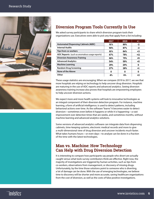

# **Diversion Program Tools Currently In Use**

We asked survey participants to share which diversion program tools their organizations use. Executives were able to pick any that apply from a list including:

|                                               | 2017 | 2019 | $+/-$ |
|-----------------------------------------------|------|------|-------|
| <b>Automated Dispensing Cabinets (ADC)</b>    | 91%  | 89%  | -2    |
| <b>Internal Audits</b>                        | 90%  | 87%  | -3    |
| Tips from co-workers                          | 81%  | 84%  | $+3$  |
| ADC Reports (such as anomalous usage reports) | 67%  | 78%  | $+11$ |
| <b>Diversion Awareness Training</b>           | 66%  | 75%  | +9    |
| <b>Advanced Analytics</b>                     | 54%  | 59%  | +5    |
| <b>Machine Learning</b>                       | 29%  | 29%  | 0     |
| <b>Random Drug Screening</b>                  | 27%  | 28%  | +1    |
| None of the Above                             | 0    | o    | O     |
| Other                                         | 4%   | 6%   | +2    |

These usage statistics are encouraging. When we compare 2019 to 2017, we see that more hospitals are relying on technology to help uncover drug diversion. Hospitals are maturing in the use of ADC reports and advanced analytics. Seeing diversion awareness training increase also proves that hospitals are empowering employees to help uncover diversion actions.

We expect more and more health systems will look to innovative technologies as an integral component of their diversion detection program. For instance, machine learning, a form of artificial intelligence, is used to detect patterns, including behavioral actions over time. As the software "learns" it becomes easier to detect diversion—sometimes even before it happens or while it is happening—a vast improvement over detection times that are weeks, and sometimes months, without machine learning and advanced analytics solutions.

Some versions of advanced analytics software can integrate data from dispensing cabinets, time-keeping systems, electronic medical records and more to give a multi-dimensional view of drug diversion and uncover incidents much faster. What takes humans hours—or even days—to analyze can be done in a fraction of the time with the latest technologies.

# **Man vs. Machine: How Technology Can Help with Drug Diversion Detection**

It is interesting to compare how participants say people who divert are actually caught versus what tools survey contributors think are effective. Right now, the majority of investigations are triggered by human activities, such as tips from co-workers, observations from management, or discovery of missing drugs. Unfortunately, by the time those solutions point to someone who is diverting, a lot of damage can be done. With the use of emerging technologies, we believe time to discovery will be shorter and more accurate, saving healthcare organizations from the cost of diversion, as well as the costs of false positive investigations.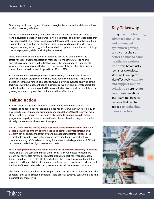Our survey participants agree, citing technologies like advanced analytics solutions as effective or very effective.

We are also aware that today's outcomes could be related to a lack of staffing to handle diversion detection programs. Forty-nine percent of executives reported that investigations take 5 or more hours to complete. About the same number said their organization has less than one full-time professional working on drug-diversion programs. Adding technology solutions can help hospitals contain the costs of drug diversion programs, while producing better results.

There are signs of change. Survey respondents are losing confidence in the effectiveness of traditional detection methods like monthly ADC reports and anomalous usage reports. In the last two years, the percentage of respondents who said these reports are effective or very effective at the identification and/or prevention of drug diversion dropped from 78% to 52%.

At the same time, survey respondents show growing confidence in advanced analytics to detect drug diversion. These more advanced methods are now the detection technique ranked as most effective. Following advanced analytics as the technique with the most confidence, tips from co-workers and internal audits filled out the top three of solutions rated the most effective. We expect these solutions are gaining momentum, given the confidence in their effectiveness.

# **Taking Action**

As drug diversion incidents continue to grow, it becomes imperative that all hospitals consider solutions that help expose healthcare workers who are guilty of diversion to protect patients, profitability and reputations. What the surveys make clear is that, as an industry, **we are currently failing to expand drug diversion programs as rapidly as needed** when the number of diversion programs remains virtually the same over the course of two years.

We also need to **more closely match resources dedicated to building diversion programs with the amount of time needed to complete investigations.** This problem can be approached from two angles: Expanding staff to increase FTEs dedicated to drug diversion detection and increasing the use of technology machine learning, ADCs, advanced analytics and automated reports from ADCs—to cut time and make investigations more accurate.

Finally, **recognizing the fully loaded costs of drug diversion is extremely important.** There isn't just the cost of the drugs themselves—although those numbers are breath-taking; we also have to account for organizational fines when regulatory targets aren't met, the costs of lost productivity, the cost of turnover, rehabilitation programs and legal liabilities. It's uncomfortable, yet necessary, to acknowledge that the brunt of those costs are borne by consumers with insurance and taxpayers.

The time has come for healthcare organizations to bring drug diversion into the spotlight and build strategic programs that protect patients, consumers and the organizations themselves.

# **Key Takeaway**

Using **machine learning, advanced analytics and automated systems/reporting** can give hospitals a **better chance to catch healthcare workers**  who divert before risky scenarios take place. Machine learning can also effectively **validate and support human solutions** by crunching data in near real-time and "learning" behavior patterns that can be applied **to make data more effective.**



# <u>minvistics</u>